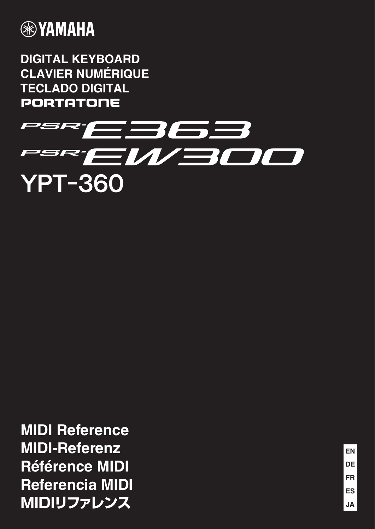

**DIGITAL KEYBOARD CLAVIER NUMÉRIQUE TECLADO DIGITAL PORTATONE** 



**MIDI Reference MIDI-Referenz Référence MIDI Referencia MIDI MIDIリファレンス**

**ES FR DE EN JA**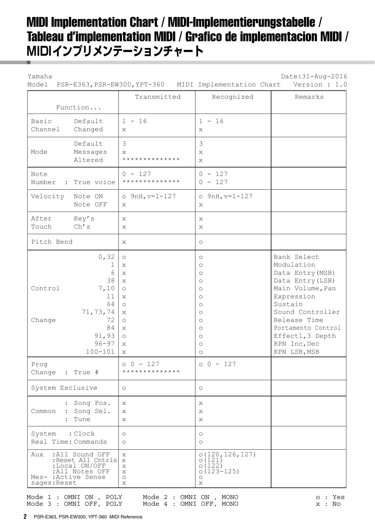# MIDI Implementation Chart / MIDI-Implementierungstabelle / Tableau d'implementation MIDI / Grafico de implementacion MIDI / **MIDIインプリメンテーションチャート**

Yamaha Date:31-Aug-2016

| Model                                        |                                                                                                        | PSR-E363, PSR-EW300, YPT-360 MIDI Implementation Chart                                                                                                                              |                                                                                                                                                           | Version : 1.0                                                                                                                                                                                                                |
|----------------------------------------------|--------------------------------------------------------------------------------------------------------|-------------------------------------------------------------------------------------------------------------------------------------------------------------------------------------|-----------------------------------------------------------------------------------------------------------------------------------------------------------|------------------------------------------------------------------------------------------------------------------------------------------------------------------------------------------------------------------------------|
|                                              |                                                                                                        | Transmitted                                                                                                                                                                         | Recognized                                                                                                                                                | Remarks                                                                                                                                                                                                                      |
|                                              | Function                                                                                               |                                                                                                                                                                                     |                                                                                                                                                           |                                                                                                                                                                                                                              |
| Basic<br>Channel                             | Default<br>Changed                                                                                     | $1 - 16$<br>X                                                                                                                                                                       | $1 - 16$<br>X                                                                                                                                             |                                                                                                                                                                                                                              |
| Mode                                         | Default<br>Messages<br>Altered                                                                         | 3<br>X<br>**************                                                                                                                                                            | 3<br>X<br>$\mathbf{x}$                                                                                                                                    |                                                                                                                                                                                                                              |
| Note<br>Number<br>$\mathcal{L}$              | True voice                                                                                             | $0 - 127$<br>**************                                                                                                                                                         | $0 - 127$<br>$0 - 127$                                                                                                                                    |                                                                                                                                                                                                                              |
| Velocity                                     | Note ON<br>Note OFF                                                                                    | $o$ 9nH, $v=1-127$<br>X                                                                                                                                                             | $o$ 9nH, $v=1-127$<br>X                                                                                                                                   |                                                                                                                                                                                                                              |
| After<br>Touch                               | Key's<br>$\mathop{\rm Ch}\nolimits'$ s                                                                 | X<br>X                                                                                                                                                                              | X<br>X                                                                                                                                                    |                                                                                                                                                                                                                              |
| Pitch Bend                                   |                                                                                                        | $\mathbf{x}$                                                                                                                                                                        | $\circ$                                                                                                                                                   |                                                                                                                                                                                                                              |
| Control<br>Change<br>Prog<br>Change : True # | 0, 32<br>1<br>6<br>38<br>7,10<br>11<br>64<br>71,73,74<br>72<br>84<br>91,93<br>$96 - 97$<br>$100 - 101$ | $\circ$<br>X<br>X<br>$\mathbf{x}$<br>$\circlearrowright$<br>$\mathbf{x}$<br>$\circlearrowright$<br>X<br>$\circ$<br>X<br>$\circ$<br>$\mathbf{x}$<br>X<br>$0 - 127$<br>************** | $\circ$<br>$\circ$<br>$\circ$<br>$\circ$<br>$\circ$<br>$\circ$<br>$\circ$<br>$\circ$<br>$\circ$<br>$\circ$<br>$\circ$<br>$\circ$<br>$\circ$<br>$00 - 127$ | Bank Select<br>Modulation<br>Data Entry (MSB)<br>Data Entry (LSB)<br>Main Volume, Pan<br>Expression<br>Sustain<br>Sound Controller<br>Release Time<br>Portamento Control<br>Effect1, 3 Depth<br>RPN Inc, Dec<br>RPN LSB, MSB |
| System Exclusive                             |                                                                                                        | $\circ$                                                                                                                                                                             | $\circ$                                                                                                                                                   |                                                                                                                                                                                                                              |
| Common                                       | : Song Pos.<br>: Song Sel.<br>Tune                                                                     | X<br>X<br>Х                                                                                                                                                                         | Х<br>Х<br>Х                                                                                                                                               |                                                                                                                                                                                                                              |
| System<br>Real Time: Commands                | : Clock                                                                                                | $\circlearrowright$<br>$\circ$                                                                                                                                                      | $\circ$<br>$\circ$                                                                                                                                        |                                                                                                                                                                                                                              |
| Aux<br>Mes- : Active Sense<br>sages: Reset   | :All Sound OFF<br>:Reset All Cntrls<br>:Local ON/OFF<br>:All Notes OFF                                 | X<br>X<br>Χ<br>X<br>$\circlearrowright$<br>Χ                                                                                                                                        | 0(120, 126, 127)<br>0(121)<br>0(122)<br>$0(123 - 125)$<br>$\circ$<br>Х                                                                                    |                                                                                                                                                                                                                              |

Mode 1 : OMNI ON , POLY Mode 2 : OMNI ON , MONO  $\qquad \qquad \circ : Y$ es Mode 3 : OMNI OFF, POLY Mode 4 : OMNI OFF, MONO  $\begin{array}{cccc} x : & No \end{array}$